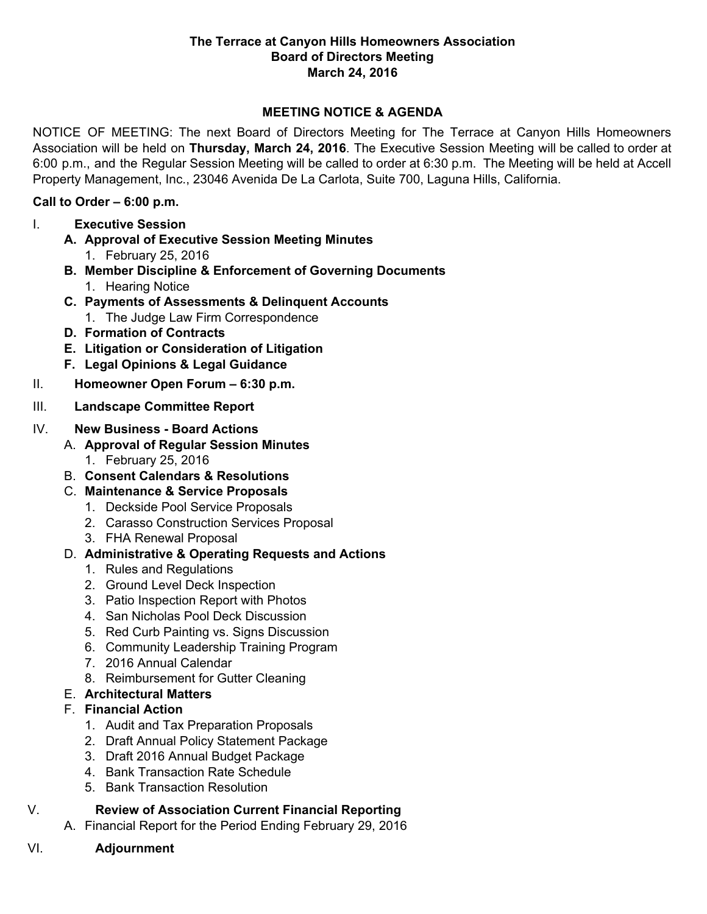#### **The Terrace at Canyon Hills Homeowners Association Board of Directors Meeting March 24, 2016**

### **MEETING NOTICE & AGENDA**

NOTICE OF MEETING: The next Board of Directors Meeting for The Terrace at Canyon Hills Homeowners Association will be held on **Thursday, March 24, 2016**. The Executive Session Meeting will be called to order at 6:00 p.m., and the Regular Session Meeting will be called to order at 6:30 p.m. The Meeting will be held at Accell Property Management, Inc., 23046 Avenida De La Carlota, Suite 700, Laguna Hills, California.

#### **Call to Order – 6:00 p.m.**

- I. **Executive Session**
	- **A. Approval of Executive Session Meeting Minutes**
		- 1. February 25, 2016
	- **B. Member Discipline & Enforcement of Governing Documents** 1. Hearing Notice
	- **C. Payments of Assessments & Delinquent Accounts**
		- 1. The Judge Law Firm Correspondence
	- **D. Formation of Contracts**
	- **E. Litigation or Consideration of Litigation**
	- **F. Legal Opinions & Legal Guidance**
- II. **Homeowner Open Forum – 6:30 p.m.**
- III. **Landscape Committee Report**

## IV. **New Business - Board Actions**

- A. **Approval of Regular Session Minutes**
	- 1. February 25, 2016
- B. **Consent Calendars & Resolutions**
- C. **Maintenance & Service Proposals**
	- 1. Deckside Pool Service Proposals
	- 2. Carasso Construction Services Proposal
	- 3. FHA Renewal Proposal
- D. **Administrative & Operating Requests and Actions**
	- 1. Rules and Regulations
	- 2. Ground Level Deck Inspection
	- 3. Patio Inspection Report with Photos
	- 4. San Nicholas Pool Deck Discussion
	- 5. Red Curb Painting vs. Signs Discussion
	- 6. Community Leadership Training Program
	- 7. 2016 Annual Calendar
	- 8. Reimbursement for Gutter Cleaning

# E. **Architectural Matters**

# F. **Financial Action**

- 1. Audit and Tax Preparation Proposals
- 2. Draft Annual Policy Statement Package
- 3. Draft 2016 Annual Budget Package
- 4. Bank Transaction Rate Schedule
- 5. Bank Transaction Resolution

# V. **Review of Association Current Financial Reporting**

- A. Financial Report for the Period Ending February 29, 2016
- VI. **Adjournment**
-